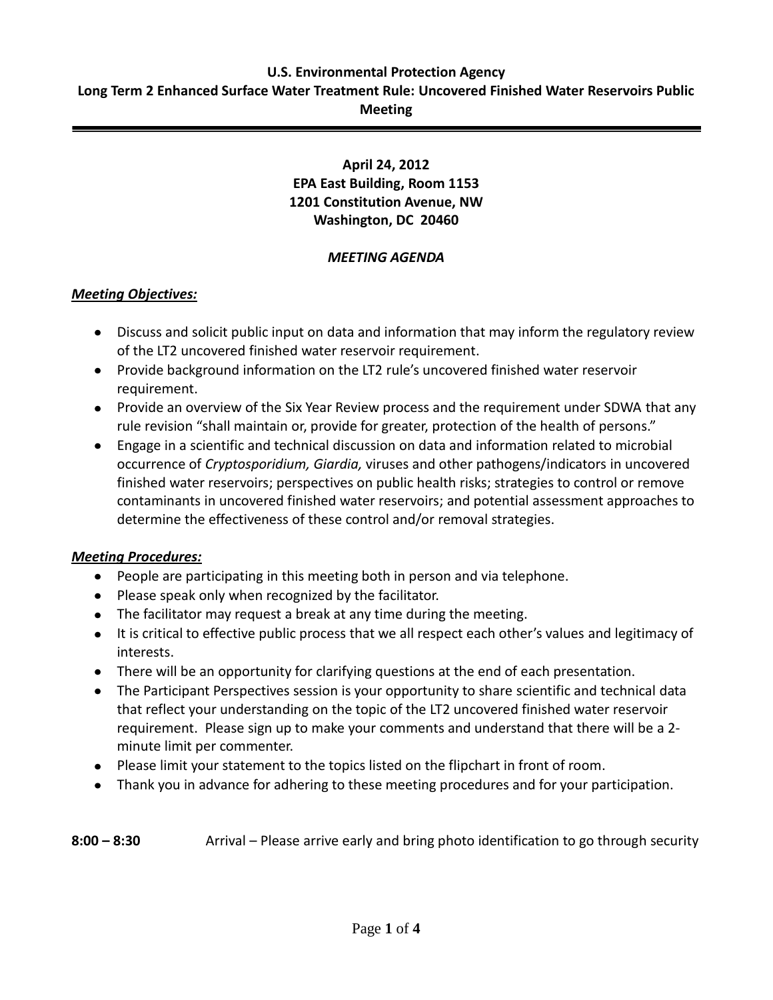#### **U.S. Environmental Protection Agency Long Term 2 Enhanced Surface Water Treatment Rule: Uncovered Finished Water Reservoirs Public Meeting**

# **April 24, 2012 EPA East Building, Room 1153 1201 Constitution Avenue, NW Washington, DC 20460**

## *MEETING AGENDA*

## *Meeting Objectives:*

- Discuss and solicit public input on data and information that may inform the regulatory review of the LT2 uncovered finished water reservoir requirement.
- Provide background information on the LT2 rule's uncovered finished water reservoir requirement.
- Provide an overview of the Six Year Review process and the requirement under SDWA that any rule revision "shall maintain or, provide for greater, protection of the health of persons."
- Engage in a scientific and technical discussion on data and information related to microbial occurrence of *Cryptosporidium, Giardia,* viruses and other pathogens/indicators in uncovered finished water reservoirs; perspectives on public health risks; strategies to control or remove contaminants in uncovered finished water reservoirs; and potential assessment approaches to determine the effectiveness of these control and/or removal strategies.

### *Meeting Procedures:*

- People are participating in this meeting both in person and via telephone.
- Please speak only when recognized by the facilitator.
- The facilitator may request a break at any time during the meeting.
- It is critical to effective public process that we all respect each other's values and legitimacy of interests.
- There will be an opportunity for clarifying questions at the end of each presentation.
- The Participant Perspectives session is your opportunity to share scientific and technical data that reflect your understanding on the topic of the LT2 uncovered finished water reservoir requirement. Please sign up to make your comments and understand that there will be a 2 minute limit per commenter.
- Please limit your statement to the topics listed on the flipchart in front of room.
- Thank you in advance for adhering to these meeting procedures and for your participation.

## **8:00 – 8:30** Arrival – Please arrive early and bring photo identification to go through security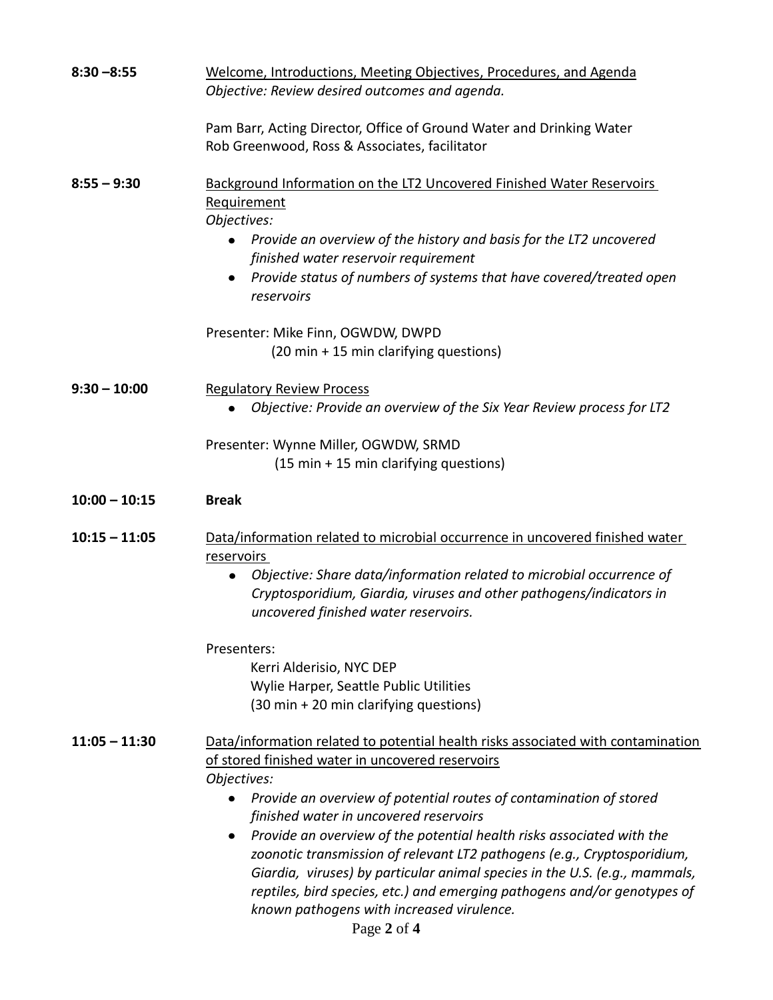| $8:30 - 8:55$   | Welcome, Introductions, Meeting Objectives, Procedures, and Agenda<br>Objective: Review desired outcomes and agenda.                                                      |
|-----------------|---------------------------------------------------------------------------------------------------------------------------------------------------------------------------|
|                 | Pam Barr, Acting Director, Office of Ground Water and Drinking Water<br>Rob Greenwood, Ross & Associates, facilitator                                                     |
| $8:55 - 9:30$   | Background Information on the LT2 Uncovered Finished Water Reservoirs<br>Requirement<br>Objectives:<br>Provide an overview of the history and basis for the LT2 uncovered |
|                 | finished water reservoir requirement<br>Provide status of numbers of systems that have covered/treated open<br>reservoirs                                                 |
|                 | Presenter: Mike Finn, OGWDW, DWPD<br>(20 min + 15 min clarifying questions)                                                                                               |
| $9:30 - 10:00$  | <b>Regulatory Review Process</b><br>Objective: Provide an overview of the Six Year Review process for LT2                                                                 |
|                 | Presenter: Wynne Miller, OGWDW, SRMD<br>(15 min + 15 min clarifying questions)                                                                                            |
| $10:00 - 10:15$ | <b>Break</b>                                                                                                                                                              |
| $10:15 - 11:05$ | Data/information related to microbial occurrence in uncovered finished water<br>reservoirs<br>Objective: Share data/information related to microbial occurrence of<br>٠   |
|                 | Cryptosporidium, Giardia, viruses and other pathogens/indicators in<br>uncovered finished water reservoirs.                                                               |
|                 | Presenters:<br>Kerri Alderisio, NYC DEP<br>Wylie Harper, Seattle Public Utilities<br>(30 min + 20 min clarifying questions)                                               |
| $11:05 - 11:30$ | Data/information related to potential health risks associated with contamination<br>of stored finished water in uncovered reservoirs<br>Objectives:                       |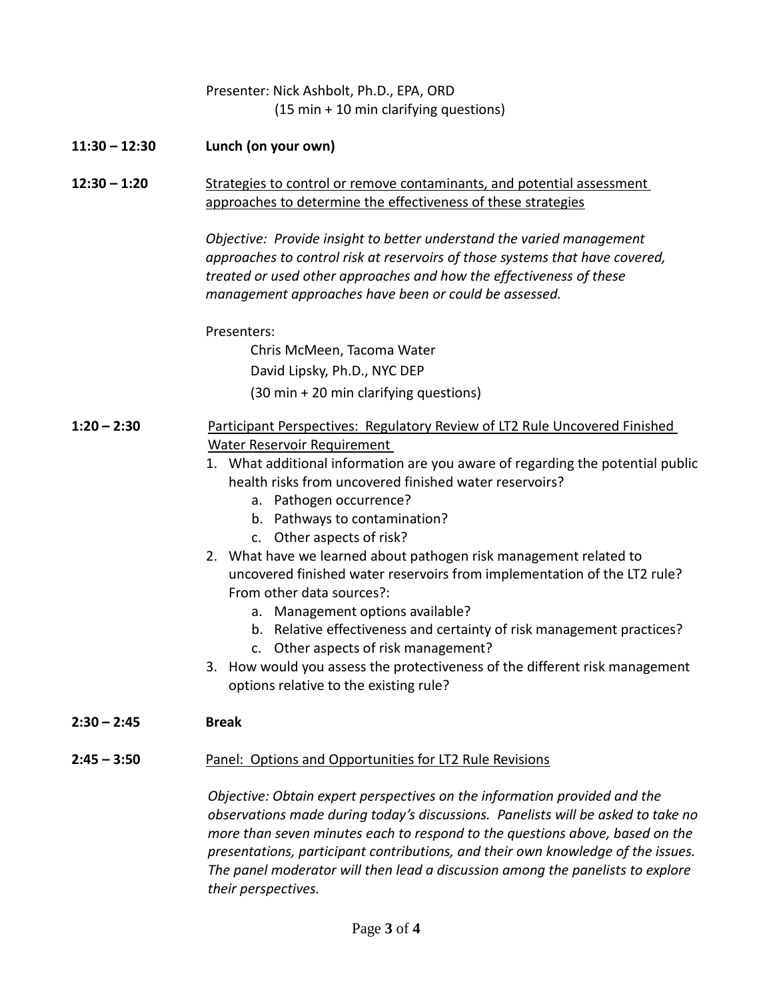|                 | Presenter: Nick Ashbolt, Ph.D., EPA, ORD<br>(15 min + 10 min clarifying questions)                                                                                                                                                                                                                                                                                                                                                                                                                                                                                                                                                                                                                                                                                                                             |
|-----------------|----------------------------------------------------------------------------------------------------------------------------------------------------------------------------------------------------------------------------------------------------------------------------------------------------------------------------------------------------------------------------------------------------------------------------------------------------------------------------------------------------------------------------------------------------------------------------------------------------------------------------------------------------------------------------------------------------------------------------------------------------------------------------------------------------------------|
| $11:30 - 12:30$ | Lunch (on your own)                                                                                                                                                                                                                                                                                                                                                                                                                                                                                                                                                                                                                                                                                                                                                                                            |
| $12:30 - 1:20$  | Strategies to control or remove contaminants, and potential assessment<br>approaches to determine the effectiveness of these strategies                                                                                                                                                                                                                                                                                                                                                                                                                                                                                                                                                                                                                                                                        |
|                 | Objective: Provide insight to better understand the varied management<br>approaches to control risk at reservoirs of those systems that have covered,<br>treated or used other approaches and how the effectiveness of these<br>management approaches have been or could be assessed.                                                                                                                                                                                                                                                                                                                                                                                                                                                                                                                          |
|                 | Presenters:                                                                                                                                                                                                                                                                                                                                                                                                                                                                                                                                                                                                                                                                                                                                                                                                    |
|                 | Chris McMeen, Tacoma Water                                                                                                                                                                                                                                                                                                                                                                                                                                                                                                                                                                                                                                                                                                                                                                                     |
|                 | David Lipsky, Ph.D., NYC DEP                                                                                                                                                                                                                                                                                                                                                                                                                                                                                                                                                                                                                                                                                                                                                                                   |
|                 | (30 min + 20 min clarifying questions)                                                                                                                                                                                                                                                                                                                                                                                                                                                                                                                                                                                                                                                                                                                                                                         |
|                 |                                                                                                                                                                                                                                                                                                                                                                                                                                                                                                                                                                                                                                                                                                                                                                                                                |
| $1:20 - 2:30$   | Participant Perspectives: Regulatory Review of LT2 Rule Uncovered Finished<br><b>Water Reservoir Requirement</b><br>1. What additional information are you aware of regarding the potential public<br>health risks from uncovered finished water reservoirs?<br>a. Pathogen occurrence?<br>b. Pathways to contamination?<br>c. Other aspects of risk?<br>2. What have we learned about pathogen risk management related to<br>uncovered finished water reservoirs from implementation of the LT2 rule?<br>From other data sources?:<br>a. Management options available?<br>b. Relative effectiveness and certainty of risk management practices?<br>Other aspects of risk management?<br>3. How would you assess the protectiveness of the different risk management<br>options relative to the existing rule? |
| $2:30 - 2:45$   | <b>Break</b>                                                                                                                                                                                                                                                                                                                                                                                                                                                                                                                                                                                                                                                                                                                                                                                                   |
|                 |                                                                                                                                                                                                                                                                                                                                                                                                                                                                                                                                                                                                                                                                                                                                                                                                                |
| $2:45 - 3:50$   | Panel: Options and Opportunities for LT2 Rule Revisions                                                                                                                                                                                                                                                                                                                                                                                                                                                                                                                                                                                                                                                                                                                                                        |
|                 | Objective: Obtain expert perspectives on the information provided and the<br>observations made during today's discussions. Panelists will be asked to take no<br>more than seven minutes each to respond to the questions above, based on the<br>presentations, participant contributions, and their own knowledge of the issues.<br>The panel moderator will then lead a discussion among the panelists to explore<br>their perspectives.                                                                                                                                                                                                                                                                                                                                                                     |